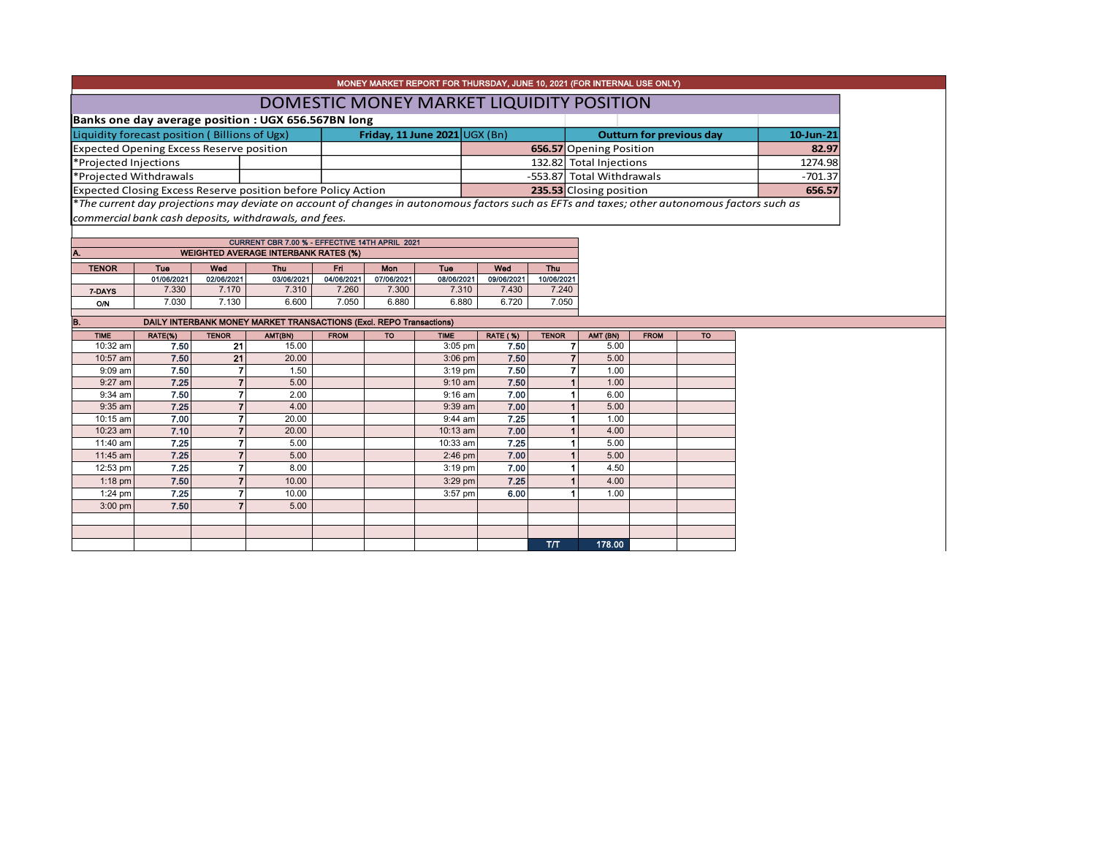|                                                 |                     |                |                                                                                                                                               |                     |                     |                                 |                 |                           | MONEY MARKET REPORT FOR THURSDAY, JUNE 10, 2021 (FOR INTERNAL USE ONLY) |             |           |        |
|-------------------------------------------------|---------------------|----------------|-----------------------------------------------------------------------------------------------------------------------------------------------|---------------------|---------------------|---------------------------------|-----------------|---------------------------|-------------------------------------------------------------------------|-------------|-----------|--------|
|                                                 |                     |                |                                                                                                                                               |                     |                     |                                 |                 |                           | DOMESTIC MONEY MARKET LIQUIDITY POSITION                                |             |           |        |
|                                                 |                     |                | Banks one day average position : UGX 656.567BN long                                                                                           |                     |                     |                                 |                 |                           |                                                                         |             |           |        |
| Liquidity forecast position (Billions of Ugx)   |                     |                | Friday, 11 June 2021 UGX (Bn)                                                                                                                 |                     |                     | <b>Outturn for previous day</b> | 10-Jun-21       |                           |                                                                         |             |           |        |
| <b>Expected Opening Excess Reserve position</b> |                     |                |                                                                                                                                               |                     |                     |                                 |                 |                           | 656.57 Opening Position                                                 | 82.97       |           |        |
| *Projected Injections                           |                     |                |                                                                                                                                               |                     |                     |                                 |                 |                           | 132.82 Total Injections                                                 | 1274.98     |           |        |
| *Projected Withdrawals                          |                     |                |                                                                                                                                               |                     |                     |                                 |                 | -553.87 Total Withdrawals |                                                                         |             | $-701.37$ |        |
|                                                 |                     |                | Expected Closing Excess Reserve position before Policy Action                                                                                 |                     |                     |                                 |                 |                           | 235.53 Closing position                                                 |             |           | 656.57 |
|                                                 |                     |                | *The current day projections may deviate on account of changes in autonomous factors such as EFTs and taxes; other autonomous factors such as |                     |                     |                                 |                 |                           |                                                                         |             |           |        |
|                                                 |                     |                | commercial bank cash deposits, withdrawals, and fees.                                                                                         |                     |                     |                                 |                 |                           |                                                                         |             |           |        |
|                                                 |                     |                |                                                                                                                                               |                     |                     |                                 |                 |                           |                                                                         |             |           |        |
|                                                 |                     |                | CURRENT CBR 7.00 % - EFFECTIVE 14TH APRIL 2021                                                                                                |                     |                     |                                 |                 |                           |                                                                         |             |           |        |
| А.                                              |                     |                | <b>WEIGHTED AVERAGE INTERBANK RATES (%)</b>                                                                                                   |                     |                     |                                 |                 |                           |                                                                         |             |           |        |
| <b>TENOR</b>                                    | Tue                 | Wed            | Thu                                                                                                                                           | Fri                 | Mon                 | Tue                             | Wed             | Thu                       |                                                                         |             |           |        |
|                                                 | 01/06/2021<br>7.330 | 02/06/2021     | 03/06/2021                                                                                                                                    | 04/06/2021<br>7.260 | 07/06/2021<br>7.300 | 08/06/2021                      | 09/06/2021      | 10/06/2021<br>7.240       |                                                                         |             |           |        |
| 7-DAYS                                          | 7.030               | 7.170<br>7.130 | 7.310<br>6.600                                                                                                                                | 7.050               | 6.880               | 7.310<br>6.880                  | 7.430<br>6.720  | 7.050                     |                                                                         |             |           |        |
| <b>O/N</b>                                      |                     |                |                                                                                                                                               |                     |                     |                                 |                 |                           |                                                                         |             |           |        |
|                                                 |                     |                |                                                                                                                                               |                     |                     |                                 |                 |                           |                                                                         |             |           |        |
| B.                                              |                     |                | DAILY INTERBANK MONEY MARKET TRANSACTIONS (Excl. REPO Transactions)                                                                           |                     |                     |                                 |                 |                           |                                                                         |             |           |        |
| <b>TIME</b>                                     | RATE(%)             | <b>TENOR</b>   | AMT(BN)                                                                                                                                       | <b>FROM</b>         | <b>TO</b>           | <b>TIME</b>                     | <b>RATE (%)</b> | <b>TENOR</b>              | AMT (BN)                                                                | <b>FROM</b> | <b>TO</b> |        |
| 10:32 am                                        | 7.50                | 21             | 15.00                                                                                                                                         |                     |                     | $3:05$ pm                       | 7.50            |                           | $\overline{7}$<br>5.00                                                  |             |           |        |
| 10:57 am                                        | 7.50                | 21             | 20.00                                                                                                                                         |                     |                     | 3:06 pm                         | 7.50            |                           | $\overline{7}$<br>5.00                                                  |             |           |        |
| 9:09 am                                         | 7.50                |                | 1.50                                                                                                                                          |                     |                     | 3:19 pm                         | 7.50            |                           | $\overline{7}$<br>1.00                                                  |             |           |        |
| $9:27$ am                                       | 7.25                |                | 5.00                                                                                                                                          |                     |                     | $9:10$ am                       | 7.50            |                           | 1.00                                                                    |             |           |        |
| 9:34 am                                         | 7.50<br>7.25        |                | 2.00<br>4.00                                                                                                                                  |                     |                     | 9:16 am                         | 7.00<br>7.00    |                           | 6.00<br>5.00                                                            |             |           |        |
| 9:35 am<br>10:15 am                             | 7.00                | 7              | 20.00                                                                                                                                         |                     |                     | 9:39 am<br>9:44 am              | 7.25            |                           | 1.00                                                                    |             |           |        |
| 10:23 am                                        | 7.10                |                | 20.00                                                                                                                                         |                     |                     | 10:13 am                        | 7.00            |                           | 4.00                                                                    |             |           |        |
| 11:40 am                                        | 7.25                | $\overline{7}$ | 5.00                                                                                                                                          |                     |                     | 10:33 am                        | 7.25            |                           | 5.00                                                                    |             |           |        |
| 11:45 am                                        | 7.25                |                | 5.00                                                                                                                                          |                     |                     | 2:46 pm                         | 7.00            |                           | 5.00                                                                    |             |           |        |
| 12:53 pm                                        | 7.25                | 7              | 8.00                                                                                                                                          |                     |                     | 3:19 pm                         | 7.00            |                           | 4.50                                                                    |             |           |        |
| $1:18$ pm                                       | 7.50                | $\overline{7}$ | 10.00                                                                                                                                         |                     |                     | 3:29 pm                         | 7.25            |                           | 4.00                                                                    |             |           |        |
| $1:24$ pm                                       | 7.25                | 7              | 10.00                                                                                                                                         |                     |                     | $3:57$ pm                       | 6.00            |                           | 1.00                                                                    |             |           |        |
| $3:00$ pm                                       | 7.50                | 7              | 5.00                                                                                                                                          |                     |                     |                                 |                 |                           |                                                                         |             |           |        |
|                                                 |                     |                |                                                                                                                                               |                     |                     |                                 |                 |                           |                                                                         |             |           |        |
|                                                 |                     |                |                                                                                                                                               |                     |                     |                                 |                 | <b>T/T</b>                | 178.00                                                                  |             |           |        |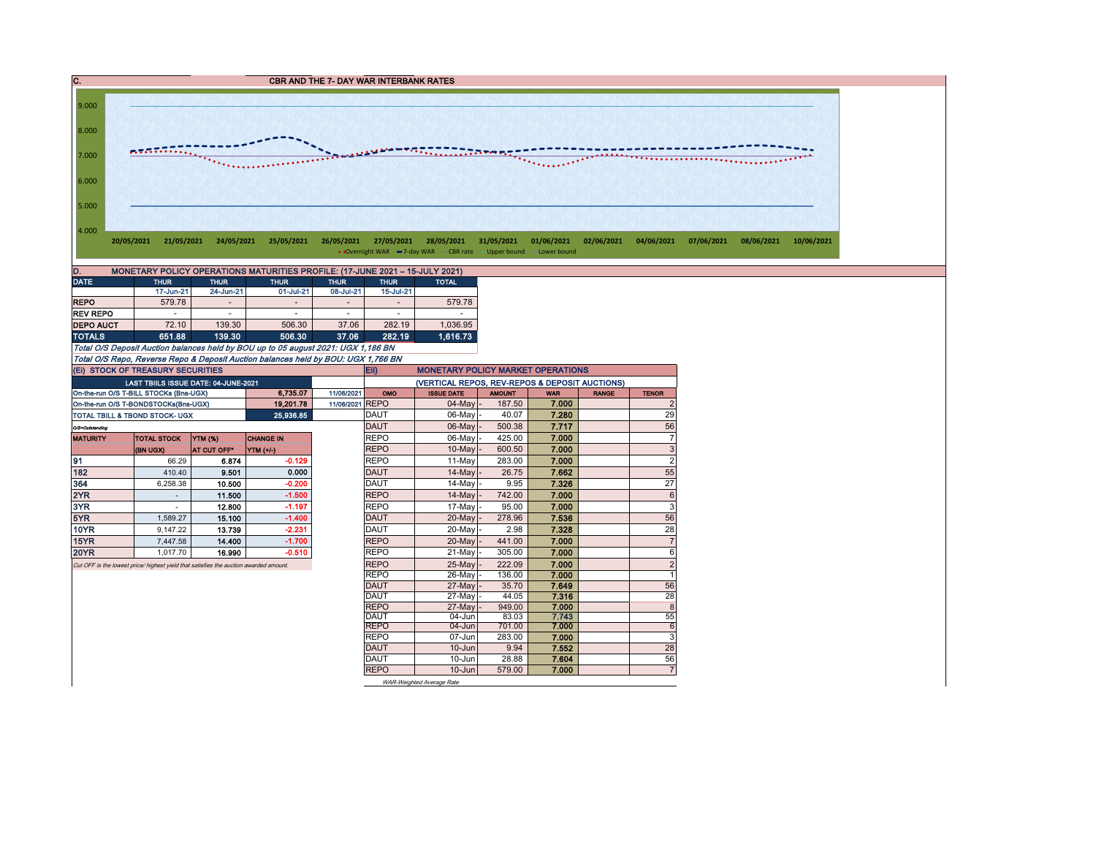C. CBR AND THE 7- DAY WAR INTERBANK RATES



| <b>REPO</b>      | 579.78                   | -      | $\overline{a}$                                                                    | -     |        | 579.78   |
|------------------|--------------------------|--------|-----------------------------------------------------------------------------------|-------|--------|----------|
| <b>REV REPO</b>  | $\overline{\phantom{a}}$ |        | $\overline{\phantom{a}}$                                                          |       |        |          |
| <b>DEPO AUCT</b> | 72.10                    | 139.30 | 506.30                                                                            | 37.06 | 282.19 | 1.036.95 |
| <b>TOTALS</b>    | 651.88                   | 139.30 | 506.30                                                                            | 37.06 | 282.19 | 1.616.73 |
|                  |                          |        | Total O/S Deposit Auction balances held by BOU up to 05 august 2021: UGX 1,186 BN |       |        |          |

Total O/S Repo, Reverse Repo & Deposit Auction balances held by BOU: UGX 1,766 BN

|                 | (EI) STOCK OF TREASURY SECURITIES                                                     |                    |                  |                 | Eii)                | <b>MONETARY POLICY MARKET OPERATIONS</b>       |                 |                |              |                |  |
|-----------------|---------------------------------------------------------------------------------------|--------------------|------------------|-----------------|---------------------|------------------------------------------------|-----------------|----------------|--------------|----------------|--|
|                 | LAST TBIILS ISSUE DATE: 04-JUNE-2021                                                  |                    |                  |                 |                     | (VERTICAL REPOS, REV-REPOS & DEPOSIT AUCTIONS) |                 |                |              |                |  |
|                 | On-the-run O/S T-BILL STOCKs (Bns-UGX)                                                |                    | 6.735.07         | 11/06/2021      | OMO                 | <b>ISSUE DATE</b>                              | <b>AMOUNT</b>   | <b>WAR</b>     | <b>RANGE</b> | <b>TENOR</b>   |  |
|                 | On-the-run O/S T-BONDSTOCKs(Bns-UGX)                                                  |                    | 19.201.78        | 11/06/2021 REPO |                     | $04$ -May $-$                                  | 187.50          | 7.000          |              | $\overline{2}$ |  |
|                 | <b>TOTAL TBILL &amp; TBOND STOCK- UGX</b>                                             |                    | 25 936 85        |                 | <b>DAUT</b>         | 06-May                                         | 40.07           | 7.280          |              | 29             |  |
| O/S=Outstanding |                                                                                       |                    |                  |                 | <b>DAUT</b>         | 06-May                                         | 500.38          | 7.717          |              | 56             |  |
| <b>MATURITY</b> | <b>TOTAL STOCK</b>                                                                    | <b>YTM (%)</b>     | <b>CHANGE IN</b> |                 | <b>REPO</b>         | 06-May                                         | 425.00          | 7.000          |              | $\overline{7}$ |  |
|                 | (BN UGX)                                                                              | <b>AT CUT OFF*</b> | YTM $(1/4)$      |                 | <b>REPO</b>         | $10-Mav$                                       | 600.50          | 7.000          |              | 3              |  |
| 91              | 66.29                                                                                 | 6.874              | $-0.129$         |                 | <b>REPO</b>         | 11-May                                         | 283.00          | 7.000          |              | $\overline{2}$ |  |
| 182             | 410.40                                                                                | 9.501              | 0.000            |                 | <b>DAUT</b>         | 14-May                                         | 26.75           | 7.662          |              | 55             |  |
| 364             | 6.258.38                                                                              | 10.500             | $-0.200$         |                 | <b>DAUT</b>         | $14$ -May                                      | 9.95            | 7.326          |              | 27             |  |
| 2YR             |                                                                                       | 11.500             | $-1.500$         |                 | <b>REPO</b>         | 14-May                                         | 742.00          | 7.000          |              | $6\phantom{1}$ |  |
| 3YR             |                                                                                       | 12.800             | $-1.197$         |                 | <b>REPO</b>         | 17-May                                         | 95.00           | 7.000          |              | 3              |  |
| 5YR             | 1.589.27                                                                              | 15.100             | $-1.400$         |                 | <b>DAUT</b>         | 20-May                                         | 278.96          | 7.536          |              | 56             |  |
| <b>10YR</b>     | 9.147.22                                                                              | 13.739             | $-2.231$         |                 | <b>DAUT</b>         | 20-May                                         | 2.98            | 7.328          |              | 28             |  |
| 15YR            | 7.447.58                                                                              | 14.400             | $-1.700$         |                 | <b>REPO</b>         | 20-May                                         | 441.00          | 7.000          |              | $\overline{7}$ |  |
| <b>20YR</b>     | 1.017.70                                                                              | 16.990             | $-0.510$         |                 | <b>REPO</b>         | 21-Mav                                         | 305.00          | 7.000          |              | 6              |  |
|                 | Cut OFF is the lowest price/ highest yield that satisfies the auction awarded amount. |                    |                  |                 | <b>REPO</b>         | 25-May                                         | 222.09          | 7.000          |              | $\overline{2}$ |  |
|                 |                                                                                       |                    |                  |                 | <b>REPO</b>         | 26-Mav                                         | 136.00          | 7.000          |              | 1              |  |
|                 |                                                                                       |                    |                  |                 | DAUT                | 27-May                                         | 35.70           | 7.649          |              | 56             |  |
|                 |                                                                                       |                    |                  |                 | <b>DAUT</b>         | 27-May                                         | 44.05           | 7.316          |              | 28             |  |
|                 |                                                                                       |                    |                  |                 | <b>REPO</b>         | 27-May                                         | 949.00          | 7.000          |              | $\overline{8}$ |  |
|                 |                                                                                       |                    |                  |                 | DAUT<br><b>REPO</b> | 04-Jun<br>04-Jun                               | 83.03<br>701.00 | 7.743<br>7.000 |              | 55<br>6        |  |
|                 |                                                                                       |                    |                  |                 | <b>REPO</b>         | 07-Jun                                         | 283.00          |                |              | 3              |  |
|                 |                                                                                       |                    |                  |                 | <b>DAUT</b>         | $10 - Jun$                                     | 9.94            | 7.000<br>7.552 |              | 28             |  |
|                 |                                                                                       |                    |                  |                 | <b>DAUT</b>         | 10-Jun                                         | 28.88           | 7.604          |              | 56             |  |
|                 |                                                                                       |                    |                  |                 | <b>REPO</b>         | $10 -$ Jun                                     | 579.00          | 7.000          |              | $\overline{7}$ |  |
|                 |                                                                                       |                    |                  |                 |                     |                                                |                 |                |              |                |  |

WAR-Weighted Average Rate